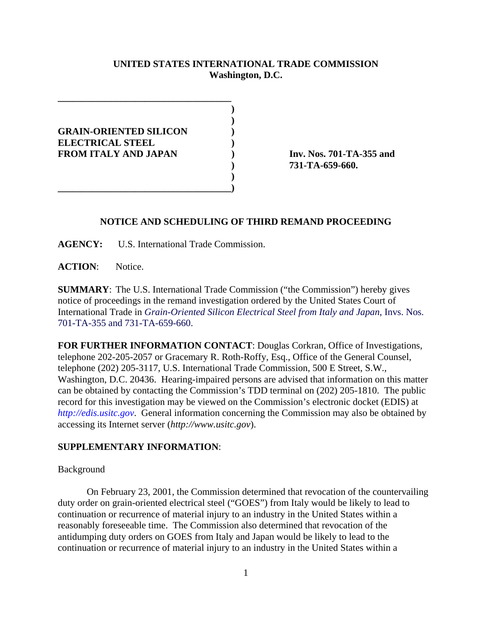# **UNITED STATES INTERNATIONAL TRADE COMMISSION Washington, D.C.**

**)**

 **)**

 **) GRAIN-ORIENTED SILICON ) ELECTRICAL STEEL ) FROM ITALY AND JAPAN ) Inv. Nos. 701-TA-355 and**

**\_\_\_\_\_\_\_\_\_\_\_\_\_\_\_\_\_\_\_\_\_\_\_\_\_\_\_\_\_\_\_\_\_\_\_\_**

**\_\_\_\_\_\_\_\_\_\_\_\_\_\_\_\_\_\_\_\_\_\_\_\_\_\_\_\_\_\_\_\_\_\_\_\_)**

**) 731-TA-659-660.**

## **NOTICE AND SCHEDULING OF THIRD REMAND PROCEEDING**

**AGENCY:** U.S. International Trade Commission.

**ACTION**: Notice.

**SUMMARY**: The U.S. International Trade Commission ("the Commission") hereby gives notice of proceedings in the remand investigation ordered by the United States Court of International Trade in *Grain-Oriented Silicon Electrical Steel from Italy and Japan*, Invs. Nos. 701-TA-355 and 731-TA-659-660.

**FOR FURTHER INFORMATION CONTACT**: Douglas Corkran, Office of Investigations, telephone 202-205-2057 or Gracemary R. Roth-Roffy, Esq., Office of the General Counsel, telephone (202) 205-3117, U.S. International Trade Commission, 500 E Street, S.W., Washington, D.C. 20436. Hearing-impaired persons are advised that information on this matter can be obtained by contacting the Commission's TDD terminal on (202) 205-1810. The public record for this investigation may be viewed on the Commission's electronic docket (EDIS) at *http://edis.usitc.gov*. General information concerning the Commission may also be obtained by accessing its Internet server (*http://www.usitc.gov*).

### **SUPPLEMENTARY INFORMATION**:

### Background

On February 23, 2001, the Commission determined that revocation of the countervailing duty order on grain-oriented electrical steel ("GOES") from Italy would be likely to lead to continuation or recurrence of material injury to an industry in the United States within a reasonably foreseeable time. The Commission also determined that revocation of the antidumping duty orders on GOES from Italy and Japan would be likely to lead to the continuation or recurrence of material injury to an industry in the United States within a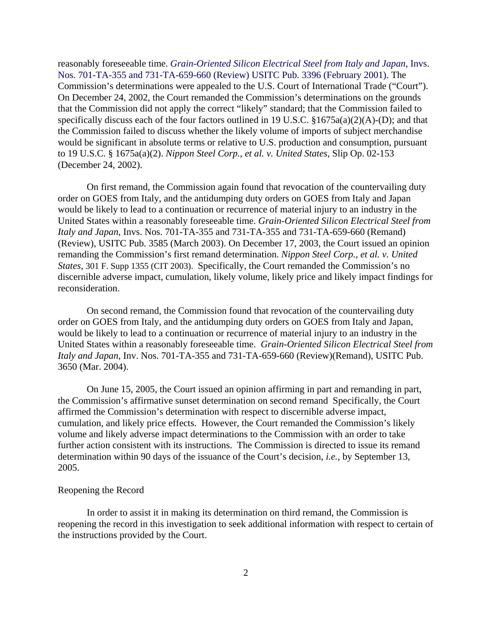reasonably foreseeable time. *Grain-Oriented Silicon Electrical Steel from Italy and Japan*, Invs. Nos. 701-TA-355 and 731-TA-659-660 (Review) USITC Pub. 3396 (February 2001). The Commission's determinations were appealed to the U.S. Court of International Trade ("Court"). On December 24, 2002, the Court remanded the Commission's determinations on the grounds that the Commission did not apply the correct "likely" standard; that the Commission failed to specifically discuss each of the four factors outlined in 19 U.S.C. §1675a(a)(2)(A)-(D); and that the Commission failed to discuss whether the likely volume of imports of subject merchandise would be significant in absolute terms or relative to U.S. production and consumption, pursuant to 19 U.S.C. § 1675a(a)(2). *Nippon Steel Corp., et al. v. United States*, Slip Op. 02-153 (December 24, 2002).

On first remand, the Commission again found that revocation of the countervailing duty order on GOES from Italy, and the antidumping duty orders on GOES from Italy and Japan would be likely to lead to a continuation or recurrence of material injury to an industry in the United States within a reasonably foreseeable time. *Grain-Oriented Silicon Electrical Steel from Italy and Japan*, Invs. Nos. 701-TA-355 and 731-TA-355 and 731-TA-659-660 (Remand) (Review), USITC Pub. 3585 (March 2003). On December 17, 2003, the Court issued an opinion remanding the Commission's first remand determination. *Nippon Steel Corp., et al. v. United States*, 301 F. Supp 1355 (CIT 2003). Specifically, the Court remanded the Commission's no discernible adverse impact, cumulation, likely volume, likely price and likely impact findings for reconsideration.

On second remand, the Commission found that revocation of the countervailing duty order on GOES from Italy, and the antidumping duty orders on GOES from Italy and Japan, would be likely to lead to a continuation or recurrence of material injury to an industry in the United States within a reasonably foreseeable time. *Grain-Oriented Silicon Electrical Steel from Italy and Japan*, Inv. Nos. 701-TA-355 and 731-TA-659-660 (Review)(Remand), USITC Pub. 3650 (Mar. 2004).

On June 15, 2005, the Court issued an opinion affirming in part and remanding in part, the Commission's affirmative sunset determination on second remand Specifically, the Court affirmed the Commission's determination with respect to discernible adverse impact, cumulation, and likely price effects. However, the Court remanded the Commission's likely volume and likely adverse impact determinations to the Commission with an order to take further action consistent with its instructions. The Commission is directed to issue its remand determination within 90 days of the issuance of the Court's decision, *i.e.*, by September 13, 2005.

### Reopening the Record

In order to assist it in making its determination on third remand, the Commission is reopening the record in this investigation to seek additional information with respect to certain of the instructions provided by the Court.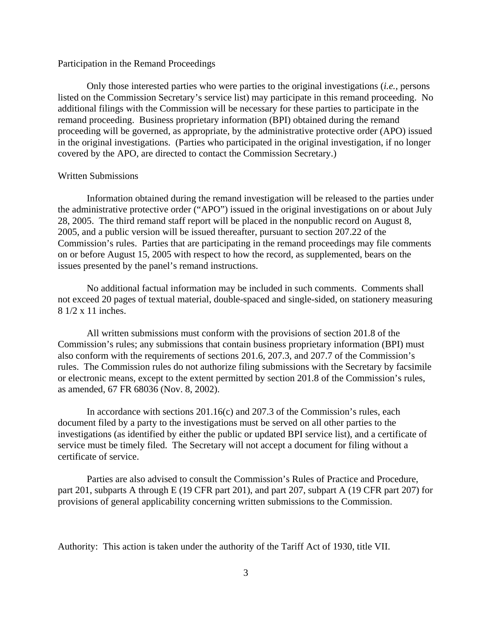# Participation in the Remand Proceedings

Only those interested parties who were parties to the original investigations (*i.e.,* persons listed on the Commission Secretary's service list) may participate in this remand proceeding. No additional filings with the Commission will be necessary for these parties to participate in the remand proceeding. Business proprietary information (BPI) obtained during the remand proceeding will be governed, as appropriate, by the administrative protective order (APO) issued in the original investigations. (Parties who participated in the original investigation, if no longer covered by the APO, are directed to contact the Commission Secretary.)

#### Written Submissions

Information obtained during the remand investigation will be released to the parties under the administrative protective order ("APO") issued in the original investigations on or about July 28, 2005. The third remand staff report will be placed in the nonpublic record on August 8, 2005, and a public version will be issued thereafter, pursuant to section 207.22 of the Commission's rules. Parties that are participating in the remand proceedings may file comments on or before August 15, 2005 with respect to how the record, as supplemented, bears on the issues presented by the panel's remand instructions.

No additional factual information may be included in such comments. Comments shall not exceed 20 pages of textual material, double-spaced and single-sided, on stationery measuring 8 1/2 x 11 inches.

All written submissions must conform with the provisions of section 201.8 of the Commission's rules; any submissions that contain business proprietary information (BPI) must also conform with the requirements of sections 201.6, 207.3, and 207.7 of the Commission's rules. The Commission rules do not authorize filing submissions with the Secretary by facsimile or electronic means, except to the extent permitted by section 201.8 of the Commission's rules, as amended, 67 FR 68036 (Nov. 8, 2002).

In accordance with sections 201.16(c) and 207.3 of the Commission's rules, each document filed by a party to the investigations must be served on all other parties to the investigations (as identified by either the public or updated BPI service list), and a certificate of service must be timely filed. The Secretary will not accept a document for filing without a certificate of service.

Parties are also advised to consult the Commission's Rules of Practice and Procedure, part 201, subparts A through E (19 CFR part 201), and part 207, subpart A (19 CFR part 207) for provisions of general applicability concerning written submissions to the Commission.

Authority: This action is taken under the authority of the Tariff Act of 1930, title VII.